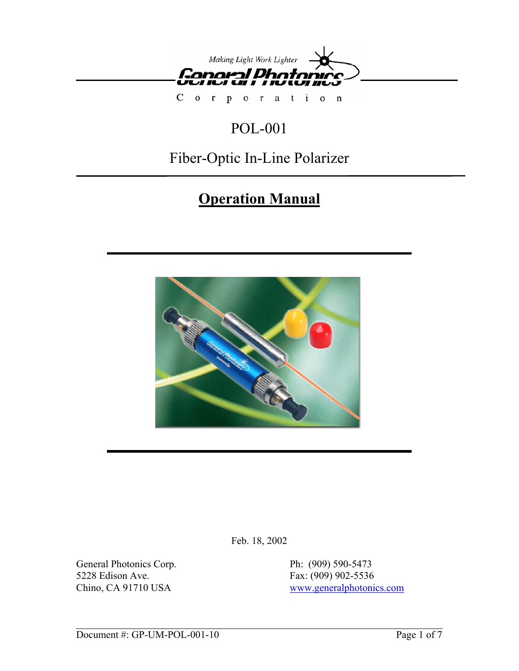

 $C$  o  $r$ poration

# POL-001

# Fiber-Optic In-Line Polarizer

# **Operation Manual**



Feb. 18, 2002

General Photonics Corp. Ph: (909) 590-5473 5228 Edison Ave. Fax: (909) 902-5536

Chino, CA 91710 USA www.generalphotonics.com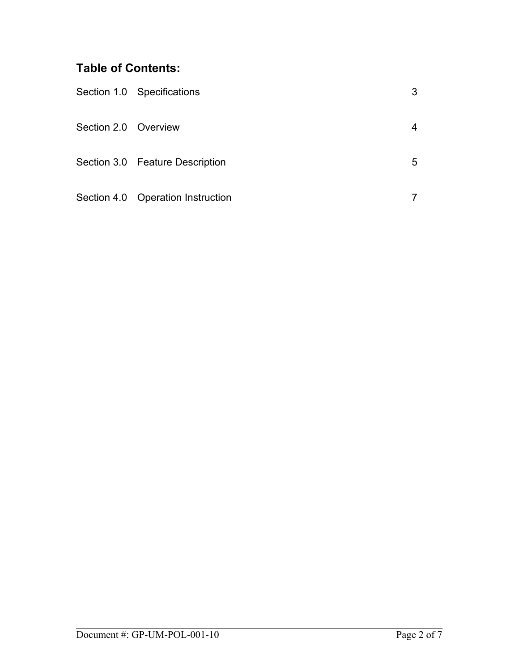# **Table of Contents:**

|                      | Section 1.0 Specifications        | 3 |
|----------------------|-----------------------------------|---|
| Section 2.0 Overview |                                   |   |
|                      | Section 3.0 Feature Description   | 5 |
|                      | Section 4.0 Operation Instruction |   |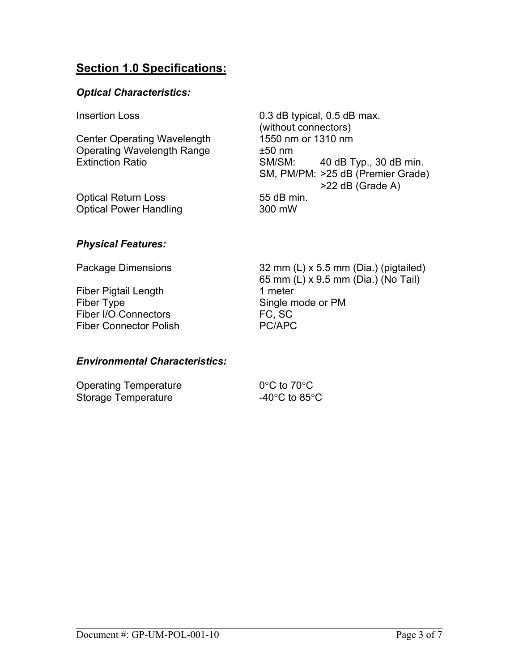# **Section 1.0 Specifications:**

## *Optical Characteristics:*

Center Operating Wavelength 1550 nm or 1310 nm Operating Wavelength Range  $±50$  nm

Optical Return Loss 55 dB min. Optical Power Handling 300 mW

Insertion Loss **0.3 dB** typical, 0.5 dB max. (without connectors) Extinction Ratio **SM/SM:** 40 dB Typ., 30 dB min. SM, PM/PM: >25 dB (Premier Grade) >22 dB (Grade A)

## *Physical Features:*

Fiber Pigtail Length 1 meter Fiber Type Single mode or PM Fiber I/O Connectors FC, SC Fiber Connector Polish PC/APC

Package Dimensions 32 mm (L) x 5.5 mm (Dia.) (pigtailed) 65 mm (L) x 9.5 mm (Dia.) (No Tail)

## *Environmental Characteristics:*

| <b>Operating Temperature</b> | $0^{\circ}$ C to 70 $^{\circ}$ C    |  |
|------------------------------|-------------------------------------|--|
| Storage Temperature          | -40 $^{\circ}$ C to 85 $^{\circ}$ C |  |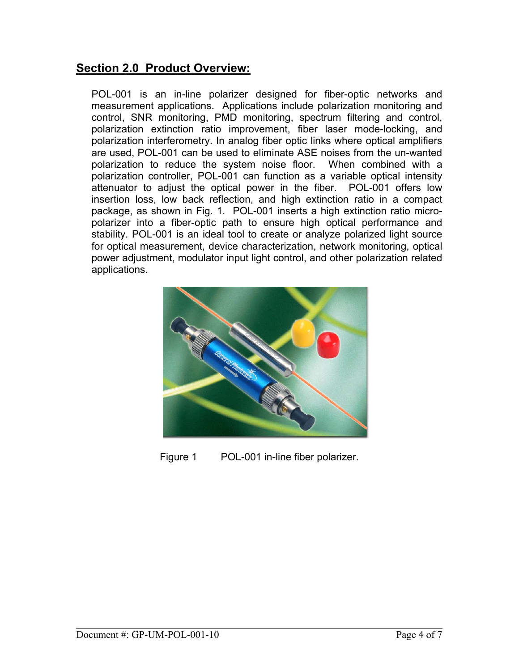## **Section 2.0 Product Overview:**

POL-001 is an in-line polarizer designed for fiber-optic networks and measurement applications. Applications include polarization monitoring and control, SNR monitoring, PMD monitoring, spectrum filtering and control, polarization extinction ratio improvement, fiber laser mode-locking, and polarization interferometry. In analog fiber optic links where optical amplifiers are used, POL-001 can be used to eliminate ASE noises from the un-wanted polarization to reduce the system noise floor. When combined with a polarization controller, POL-001 can function as a variable optical intensity attenuator to adjust the optical power in the fiber. POL-001 offers low insertion loss, low back reflection, and high extinction ratio in a compact package, as shown in Fig. 1. POL-001 inserts a high extinction ratio micropolarizer into a fiber-optic path to ensure high optical performance and stability. POL-001 is an ideal tool to create or analyze polarized light source for optical measurement, device characterization, network monitoring, optical power adjustment, modulator input light control, and other polarization related applications.



Figure 1 POL-001 in-line fiber polarizer.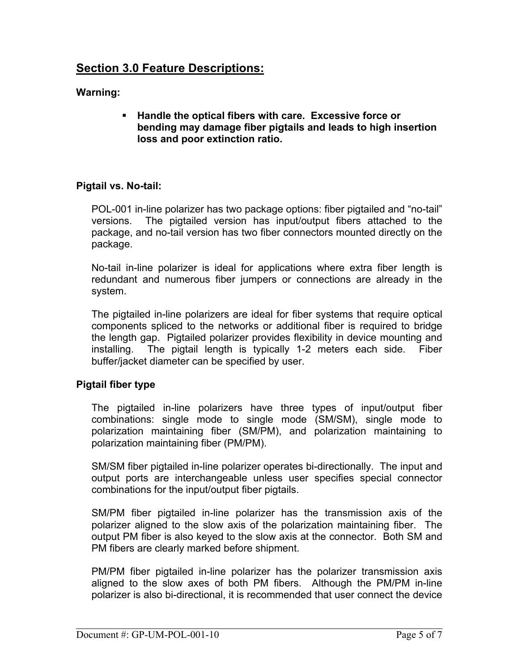# **Section 3.0 Feature Descriptions:**

## **Warning:**

 **Handle the optical fibers with care. Excessive force or bending may damage fiber pigtails and leads to high insertion loss and poor extinction ratio.** 

### **Pigtail vs. No-tail:**

POL-001 in-line polarizer has two package options: fiber pigtailed and "no-tail" versions. The pigtailed version has input/output fibers attached to the package, and no-tail version has two fiber connectors mounted directly on the package.

No-tail in-line polarizer is ideal for applications where extra fiber length is redundant and numerous fiber jumpers or connections are already in the system.

The pigtailed in-line polarizers are ideal for fiber systems that require optical components spliced to the networks or additional fiber is required to bridge the length gap. Pigtailed polarizer provides flexibility in device mounting and installing. The pigtail length is typically 1-2 meters each side. Fiber buffer/jacket diameter can be specified by user.

## **Pigtail fiber type**

The pigtailed in-line polarizers have three types of input/output fiber combinations: single mode to single mode (SM/SM), single mode to polarization maintaining fiber (SM/PM), and polarization maintaining to polarization maintaining fiber (PM/PM).

SM/SM fiber pigtailed in-line polarizer operates bi-directionally. The input and output ports are interchangeable unless user specifies special connector combinations for the input/output fiber pigtails.

SM/PM fiber pigtailed in-line polarizer has the transmission axis of the polarizer aligned to the slow axis of the polarization maintaining fiber. The output PM fiber is also keyed to the slow axis at the connector. Both SM and PM fibers are clearly marked before shipment.

PM/PM fiber pigtailed in-line polarizer has the polarizer transmission axis aligned to the slow axes of both PM fibers. Although the PM/PM in-line polarizer is also bi-directional, it is recommended that user connect the device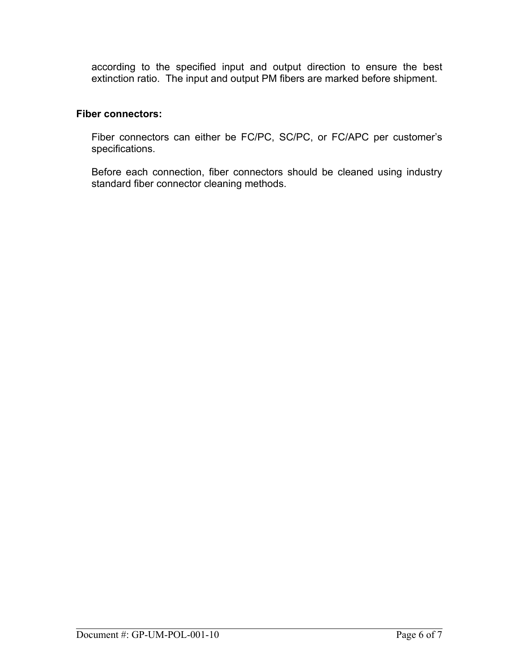according to the specified input and output direction to ensure the best extinction ratio. The input and output PM fibers are marked before shipment.

#### **Fiber connectors:**

Fiber connectors can either be FC/PC, SC/PC, or FC/APC per customer's specifications.

Before each connection, fiber connectors should be cleaned using industry standard fiber connector cleaning methods.